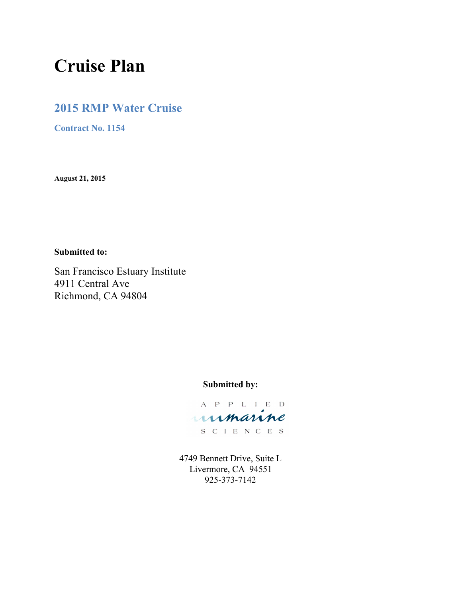# **Cruise Plan**

# **2015 RMP Water Cruise**

**Contract No. 1154**

**August 21, 2015**

**Submitted to:**

San Francisco Estuary Institute 4911 Central Ave Richmond, CA 94804

# **Submitted by:**

A P P L I E D unmarine S C I E N C E S

4749 Bennett Drive, Suite L Livermore, CA 94551 925-373-7142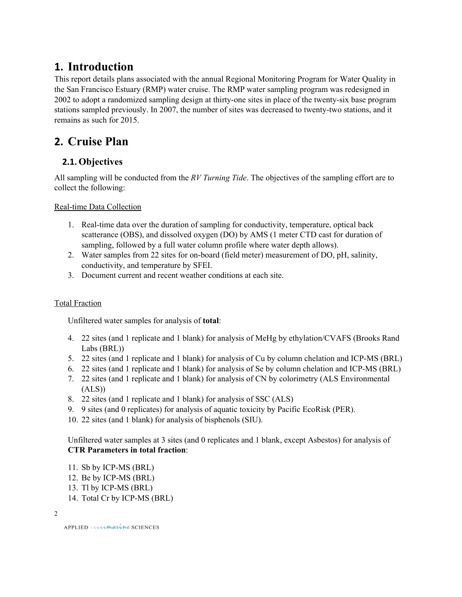# **1. Introduction**

This report details plans associated with the annual Regional Monitoring Program for Water Quality in the San Francisco Estuary (RMP) water cruise. The RMP water sampling program was redesigned in 2002 to adopt a randomized sampling design at thirty-one sites in place of the twenty-six base program stations sampled previously. In 2007, the number of sites was decreased to twenty-two stations, and it remains as such for 2015.

# **2. Cruise Plan**

# **2.1.Objectives**

All sampling will be conducted from the *RV Turning Tide*. The objectives of the sampling effort are to collect the following:

Real-time Data Collection

- 1. Real-time data over the duration of sampling for conductivity, temperature, optical back scatterance (OBS), and dissolved oxygen (DO) by AMS (1 meter CTD cast for duration of sampling, followed by a full water column profile where water depth allows).
- 2. Water samples from 22 sites for on-board (field meter) measurement of DO, pH, salinity, conductivity, and temperature by SFEI.
- 3. Document current and recent weather conditions at each site.

### Total Fraction

Unfiltered water samples for analysis of **total**:

- 4. 22 sites (and 1 replicate and 1 blank) for analysis of MeHg by ethylation/CVAFS (Brooks Rand Labs (BRL))
- 5. 22 sites (and 1 replicate and 1 blank) for analysis of Cu by column chelation and ICP-MS (BRL)
- 6. 22 sites (and 1 replicate and 1 blank) for analysis of Se by column chelation and ICP-MS (BRL)
- 7. 22 sites (and 1 replicate and 1 blank) for analysis of CN by colorimetry (ALS Environmental  $(ALS)$
- 8. 22 sites (and 1 replicate and 1 blank) for analysis of SSC (ALS)
- 9. 9 sites (and 0 replicates) for analysis of aquatic toxicity by Pacific EcoRisk (PER).
- 10. 22 sites (and 1 blank) for analysis of bisphenols (SIU).

Unfiltered water samples at 3 sites (and 0 replicates and 1 blank, except Asbestos) for analysis of **CTR Parameters in total fraction**:

- 11. Sb by ICP-MS (BRL)
- 12. Be by ICP-MS (BRL)
- 13. Tl by ICP-MS (BRL)
- 14. Total Cr by ICP-MS (BRL)

| 전 사<br>I |  |  |
|----------|--|--|
|          |  |  |
|          |  |  |
|          |  |  |
|          |  |  |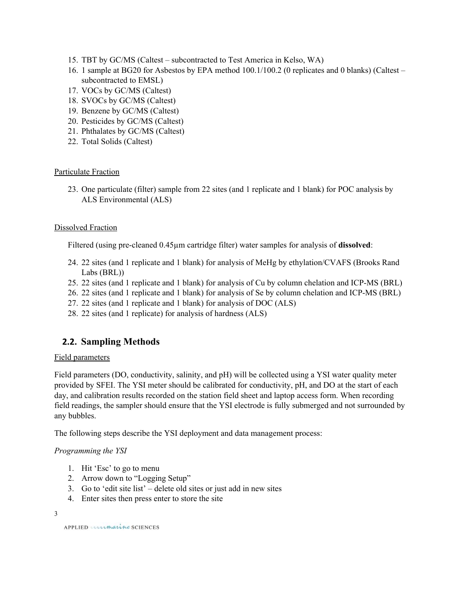- 15. TBT by GC/MS (Caltest subcontracted to Test America in Kelso, WA)
- 16. 1 sample at BG20 for Asbestos by EPA method 100.1/100.2 (0 replicates and 0 blanks) (Caltest subcontracted to EMSL)
- 17. VOCs by GC/MS (Caltest)
- 18. SVOCs by GC/MS (Caltest)
- 19. Benzene by GC/MS (Caltest)
- 20. Pesticides by GC/MS (Caltest)
- 21. Phthalates by GC/MS (Caltest)
- 22. Total Solids (Caltest)

### Particulate Fraction

23. One particulate (filter) sample from 22 sites (and 1 replicate and 1 blank) for POC analysis by ALS Environmental (ALS)

### Dissolved Fraction

Filtered (using pre-cleaned 0.45µm cartridge filter) water samples for analysis of **dissolved**:

- 24. 22 sites (and 1 replicate and 1 blank) for analysis of MeHg by ethylation/CVAFS (Brooks Rand Labs (BRL))
- 25. 22 sites (and 1 replicate and 1 blank) for analysis of Cu by column chelation and ICPMS (BRL)
- 26. 22 sites (and 1 replicate and 1 blank) for analysis of Se by column chelation and ICPMS (BRL)
- 27. 22 sites (and 1 replicate and 1 blank) for analysis of DOC (ALS)
- 28. 22 sites (and 1 replicate) for analysis of hardness (ALS)

# **2.2. Sampling Methods**

### Field parameters

Field parameters (DO, conductivity, salinity, and pH) will be collected using a YSI water quality meter provided by SFEI. The YSI meter should be calibrated for conductivity, pH, and DO at the start of each day, and calibration results recorded on the station field sheet and laptop access form. When recording field readings, the sampler should ensure that the YSI electrode is fully submerged and not surrounded by any bubbles.

The following steps describe the YSI deployment and data management process:

### *Programming the YSI*

- 1. Hit 'Esc' to go to menu
- 2. Arrow down to "Logging Setup"
- 3. Go to 'edit site list' delete old sites or just add in new sites
- 4. Enter sites then press enter to store the site

3

APPLIED unmarine SCIENCES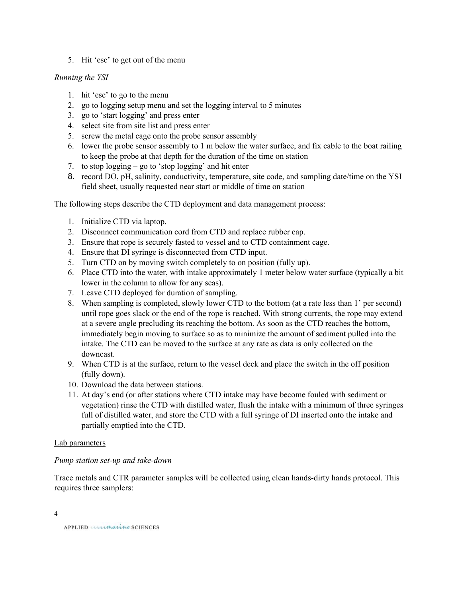5. Hit 'esc' to get out of the menu

### *Running the YSI*

- 1. hit 'esc' to go to the menu
- 2. go to logging setup menu and set the logging interval to 5 minutes
- 3. go to 'start logging' and press enter
- 4. select site from site list and press enter
- 5. screw the metal cage onto the probe sensor assembly
- 6. lower the probe sensor assembly to 1 m below the water surface, and fix cable to the boat railing to keep the probe at that depth for the duration of the time on station
- 7. to stop logging go to 'stop logging' and hit enter
- 8. record DO, pH, salinity, conductivity, temperature, site code, and sampling date/time on the YSI field sheet, usually requested near start or middle of time on station

The following steps describe the CTD deployment and data management process:

- 1. Initialize CTD via laptop.
- 2. Disconnect communication cord from CTD and replace rubber cap.
- 3. Ensure that rope is securely fasted to vessel and to CTD containment cage.
- 4. Ensure that DI syringe is disconnected from CTD input.
- 5. Turn CTD on by moving switch completely to on position (fully up).
- 6. Place CTD into the water, with intake approximately 1 meter below water surface (typically a bit lower in the column to allow for any seas).
- 7. Leave CTD deployed for duration of sampling.
- 8. When sampling is completed, slowly lower CTD to the bottom (at a rate less than 1' per second) until rope goes slack or the end of the rope is reached. With strong currents, the rope may extend at a severe angle precluding its reaching the bottom. As soon as the CTD reaches the bottom, immediately begin moving to surface so as to minimize the amount of sediment pulled into the intake. The CTD can be moved to the surface at any rate as data is only collected on the downcast.
- 9. When CTD is at the surface, return to the vessel deck and place the switch in the off position (fully down).
- 10. Download the data between stations.
- 11. At day's end (or after stations where CTD intake may have become fouled with sediment or vegetation) rinse the CTD with distilled water, flush the intake with a minimum of three syringes full of distilled water, and store the CTD with a full syringe of DI inserted onto the intake and partially emptied into the CTD.

### Lab parameters

### *Pump station set-up and take-down*

Trace metals and CTR parameter samples will be collected using clean hands-dirty hands protocol. This requires three samplers:

4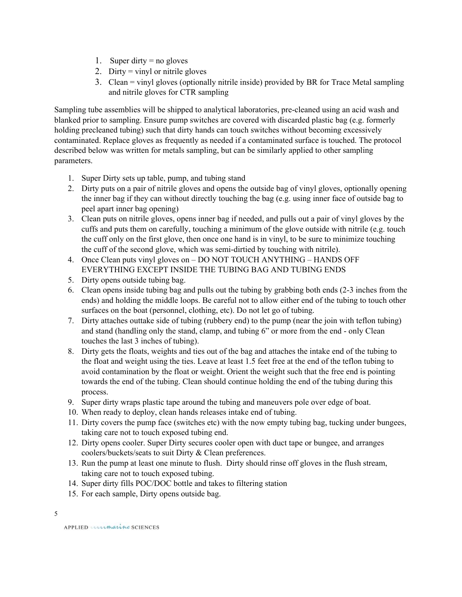- 1. Super dirty = no gloves
- 2. Dirty = vinyl or nitrile gloves
- 3. Clean = vinyl gloves (optionally nitrile inside) provided by BR for Trace Metal sampling and nitrile gloves for CTR sampling

Sampling tube assemblies will be shipped to analytical laboratories, precleaned using an acid wash and blanked prior to sampling. Ensure pump switches are covered with discarded plastic bag (e.g. formerly holding precleaned tubing) such that dirty hands can touch switches without becoming excessively contaminated. Replace gloves as frequently as needed if a contaminated surface is touched. The protocol described below was written for metals sampling, but can be similarly applied to other sampling parameters.

- 1. Super Dirty sets up table, pump, and tubing stand
- 2. Dirty puts on a pair of nitrile gloves and opens the outside bag of vinyl gloves, optionally opening the inner bag if they can without directly touching the bag (e.g. using inner face of outside bag to peel apart inner bag opening)
- 3. Clean puts on nitrile gloves, opens inner bag if needed, and pulls out a pair of vinyl gloves by the cuffs and puts them on carefully, touching a minimum of the glove outside with nitrile (e.g. touch the cuff only on the first glove, then once one hand is in vinyl, to be sure to minimize touching the cuff of the second glove, which was semi-dirtied by touching with nitrile).
- 4. Once Clean puts vinyl gloves on DO NOT TOUCH ANYTHING HANDS OFF EVERYTHING EXCEPT INSIDE THE TUBING BAG AND TUBING ENDS
- 5. Dirty opens outside tubing bag.
- 6. Clean opens inside tubing bag and pulls out the tubing by grabbing both ends (23 inches from the ends) and holding the middle loops. Be careful not to allow either end of the tubing to touch other surfaces on the boat (personnel, clothing, etc). Do not let go of tubing.
- 7. Dirty attaches outtake side of tubing (rubbery end) to the pump (near the join with teflon tubing) and stand (handling only the stand, clamp, and tubing 6" or more from the end - only Clean touches the last 3 inches of tubing).
- 8. Dirty gets the floats, weights and ties out of the bag and attaches the intake end of the tubing to the float and weight using the ties. Leave at least 1.5 feet free at the end of the teflon tubing to avoid contamination by the float or weight. Orient the weight such that the free end is pointing towards the end of the tubing. Clean should continue holding the end of the tubing during this process.
- 9. Super dirty wraps plastic tape around the tubing and maneuvers pole over edge of boat.
- 10. When ready to deploy, clean hands releases intake end of tubing.
- 11. Dirty covers the pump face (switches etc) with the now empty tubing bag, tucking under bungees, taking care not to touch exposed tubing end.
- 12. Dirty opens cooler. Super Dirty secures cooler open with duct tape or bungee, and arranges coolers/buckets/seats to suit Dirty & Clean preferences.
- 13. Run the pump at least one minute to flush. Dirty should rinse off gloves in the flush stream, taking care not to touch exposed tubing.
- 14. Super dirty fills POC/DOC bottle and takes to filtering station
- 15. For each sample, Dirty opens outside bag.

APPLIED unmarine SCIENCES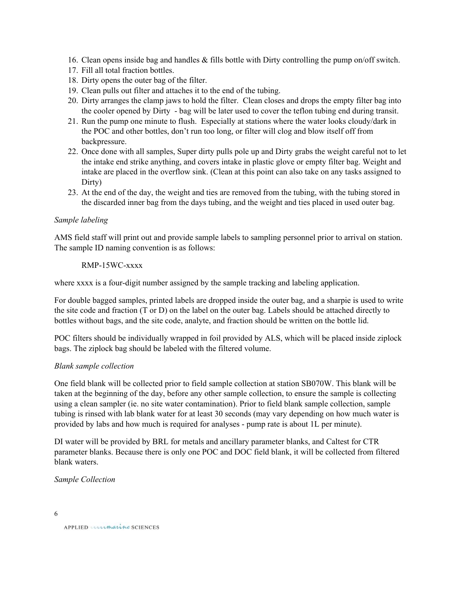- 16. Clean opens inside bag and handles & fills bottle with Dirty controlling the pump on/off switch.
- 17. Fill all total fraction bottles.
- 18. Dirty opens the outer bag of the filter.
- 19. Clean pulls out filter and attaches it to the end of the tubing.
- 20. Dirty arranges the clamp jaws to hold the filter. Clean closes and drops the empty filter bag into the cooler opened by Dirty - bag will be later used to cover the teflon tubing end during transit.
- 21. Run the pump one minute to flush. Especially at stations where the water looks cloudy/dark in the POC and other bottles, don't run too long, or filter will clog and blow itself off from backpressure.
- 22. Once done with all samples, Super dirty pulls pole up and Dirty grabs the weight careful not to let the intake end strike anything, and covers intake in plastic glove or empty filter bag. Weight and intake are placed in the overflow sink. (Clean at this point can also take on any tasks assigned to Dirty)
- 23. At the end of the day, the weight and ties are removed from the tubing, with the tubing stored in the discarded inner bag from the days tubing, and the weight and ties placed in used outer bag.

### *Sample labeling*

AMS field staff will print out and provide sample labels to sampling personnel prior to arrival on station. The sample ID naming convention is as follows:

### RMP-15WC-xxxx

where xxxx is a four-digit number assigned by the sample tracking and labeling application.

For double bagged samples, printed labels are dropped inside the outer bag, and a sharpie is used to write the site code and fraction (T or D) on the label on the outer bag. Labels should be attached directly to bottles without bags, and the site code, analyte, and fraction should be written on the bottle lid.

POC filters should be individually wrapped in foil provided by ALS, which will be placed inside ziplock bags. The ziplock bag should be labeled with the filtered volume.

### *Blank sample collection*

One field blank will be collected prior to field sample collection at station SB070W. This blank will be taken at the beginning of the day, before any other sample collection, to ensure the sample is collecting using a clean sampler (ie. no site water contamination). Prior to field blank sample collection, sample tubing is rinsed with lab blank water for at least 30 seconds (may vary depending on how much water is provided by labs and how much is required for analyses pump rate is about 1L per minute).

DI water will be provided by BRL for metals and ancillary parameter blanks, and Caltest for CTR parameter blanks. Because there is only one POC and DOC field blank, it will be collected from filtered blank waters.

### *Sample Collection*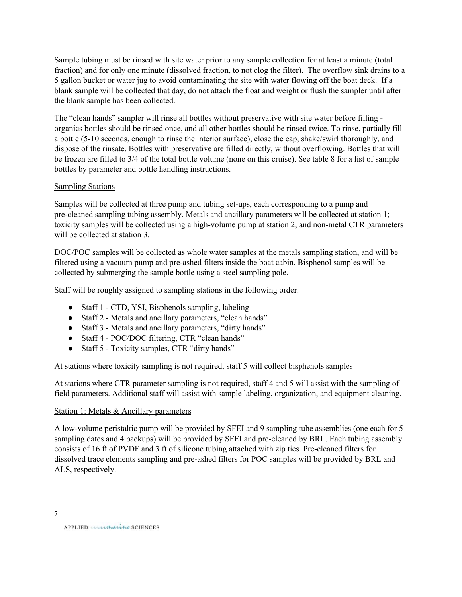Sample tubing must be rinsed with site water prior to any sample collection for at least a minute (total fraction) and for only one minute (dissolved fraction, to not clog the filter). The overflow sink drains to a 5 gallon bucket or water jug to avoid contaminating the site with water flowing off the boat deck. If a blank sample will be collected that day, do not attach the float and weight or flush the sampler until after the blank sample has been collected.

The "clean hands" sampler will rinse all bottles without preservative with site water before filling organics bottles should be rinsed once, and all other bottles should be rinsed twice. To rinse, partially fill a bottle (510 seconds, enough to rinse the interior surface), close the cap, shake/swirl thoroughly, and dispose of the rinsate. Bottles with preservative are filled directly, without overflowing. Bottles that will be frozen are filled to 3/4 of the total bottle volume (none on this cruise). See table 8 for a list of sample bottles by parameter and bottle handling instructions.

### **Sampling Stations**

Samples will be collected at three pump and tubing set-ups, each corresponding to a pump and precleaned sampling tubing assembly. Metals and ancillary parameters will be collected at station 1; toxicity samples will be collected using a high-volume pump at station 2, and non-metal CTR parameters will be collected at station 3.

DOC/POC samples will be collected as whole water samples at the metals sampling station, and will be filtered using a vacuum pump and pre-ashed filters inside the boat cabin. Bisphenol samples will be collected by submerging the sample bottle using a steel sampling pole.

Staff will be roughly assigned to sampling stations in the following order:

- Staff 1 CTD, YSI, Bisphenols sampling, labeling
- Staff 2 Metals and ancillary parameters, "clean hands"
- Staff 3 Metals and ancillary parameters, "dirty hands"
- Staff 4 POC/DOC filtering, CTR "clean hands"
- Staff 5 Toxicity samples, CTR "dirty hands"

At stations where toxicity sampling is not required, staff 5 will collect bisphenols samples

At stations where CTR parameter sampling is not required, staff 4 and 5 will assist with the sampling of field parameters. Additional staff will assist with sample labeling, organization, and equipment cleaning.

### Station 1: Metals & Ancillary parameters

A low-volume peristaltic pump will be provided by SFEI and 9 sampling tube assemblies (one each for 5 sampling dates and 4 backups) will be provided by SFEI and pre-cleaned by BRL. Each tubing assembly consists of 16 ft of PVDF and 3 ft of silicone tubing attached with zip ties. Precleaned filters for dissolved trace elements sampling and pre-ashed filters for POC samples will be provided by BRL and ALS, respectively.

7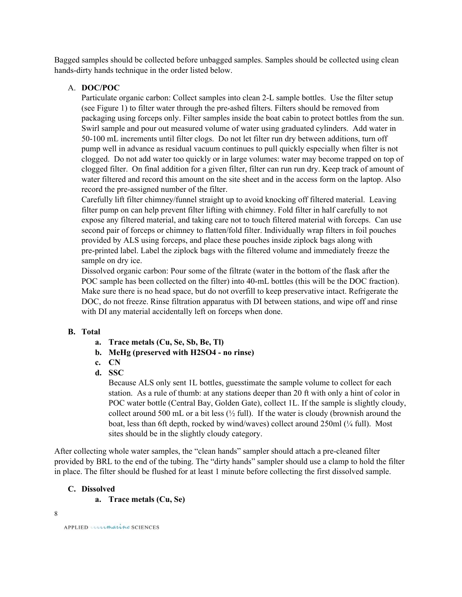Bagged samples should be collected before unbagged samples. Samples should be collected using clean hands-dirty hands technique in the order listed below.

#### A. **DOC/POC**

Particulate organic carbon: Collect samples into clean 2L sample bottles. Use the filter setup (see Figure 1) to filter water through the pre-ashed filters. Filters should be removed from packaging using forceps only. Filter samples inside the boat cabin to protect bottles from the sun. Swirl sample and pour out measured volume of water using graduated cylinders. Add water in 50100 mL increments until filter clogs. Do not let filter run dry between additions, turn off pump well in advance as residual vacuum continues to pull quickly especially when filter is not clogged. Do not add water too quickly or in large volumes: water may become trapped on top of clogged filter. On final addition for a given filter, filter can run run dry. Keep track of amount of water filtered and record this amount on the site sheet and in the access form on the laptop. Also record the pre-assigned number of the filter.

Carefully lift filter chimney/funnel straight up to avoid knocking off filtered material. Leaving filter pump on can help prevent filter lifting with chimney. Fold filter in half carefully to not expose any filtered material, and taking care not to touch filtered material with forceps. Can use second pair of forceps or chimney to flatten/fold filter. Individually wrap filters in foil pouches provided by ALS using forceps, and place these pouches inside ziplock bags along with pre-printed label. Label the ziplock bags with the filtered volume and immediately freeze the sample on dry ice.

Dissolved organic carbon: Pour some of the filtrate (water in the bottom of the flask after the POC sample has been collected on the filter) into 40-mL bottles (this will be the DOC fraction). Make sure there is no head space, but do not overfill to keep preservative intact. Refrigerate the DOC, do not freeze. Rinse filtration apparatus with DI between stations, and wipe off and rinse with DI any material accidentally left on forceps when done.

#### **B. Total**

- **a. Trace metals (Cu, Se, Sb, Be, Tl)**
- **b. MeHg (preserved with H2SO4 no rinse)**
- **c. CN**
- **d. SSC**

Because ALS only sent 1L bottles, guesstimate the sample volume to collect for each station. As a rule of thumb: at any stations deeper than 20 ft with only a hint of color in POC water bottle (Central Bay, Golden Gate), collect 1L. If the sample is slightly cloudy, collect around 500 mL or a bit less  $\frac{1}{2}$  full). If the water is cloudy (brownish around the boat, less than 6ft depth, rocked by wind/waves) collect around 250ml (¼ full). Most sites should be in the slightly cloudy category.

After collecting whole water samples, the "clean hands" sampler should attach a precleaned filter provided by BRL to the end of the tubing. The "dirty hands" sampler should use a clamp to hold the filter in place. The filter should be flushed for at least 1 minute before collecting the first dissolved sample.

### **C. Dissolved**

**a. Trace metals (Cu, Se)**

```
8
```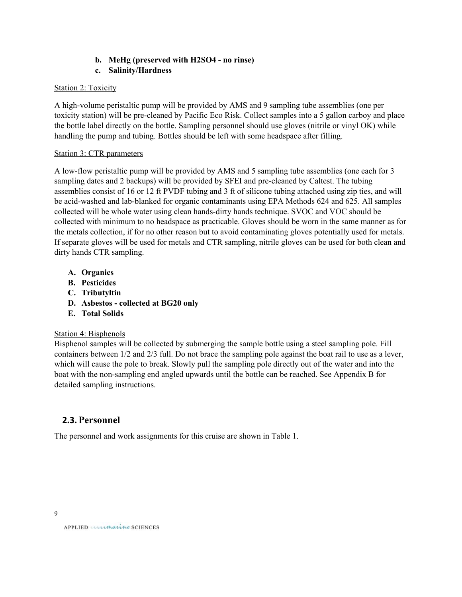# **b. MeHg (preserved with H2SO4 no rinse)**

### **c. Salinity/Hardness**

### Station 2: Toxicity

A high-volume peristaltic pump will be provided by AMS and 9 sampling tube assemblies (one per toxicity station) will be precleaned by Pacific Eco Risk. Collect samples into a 5 gallon carboy and place the bottle label directly on the bottle. Sampling personnel should use gloves (nitrile or vinyl OK) while handling the pump and tubing. Bottles should be left with some headspace after filling.

### Station 3: CTR parameters

A lowflow peristaltic pump will be provided by AMS and 5 sampling tube assemblies (one each for 3 sampling dates and 2 backups) will be provided by SFEI and precleaned by Caltest. The tubing assemblies consist of 16 or 12 ft PVDF tubing and 3 ft of silicone tubing attached using zip ties, and will be acid-washed and lab-blanked for organic contaminants using EPA Methods 624 and 625. All samples collected will be whole water using clean hands-dirty hands technique. SVOC and VOC should be collected with minimum to no headspace as practicable. Gloves should be worn in the same manner as for the metals collection, if for no other reason but to avoid contaminating gloves potentially used for metals. If separate gloves will be used for metals and CTR sampling, nitrile gloves can be used for both clean and dirty hands CTR sampling.

- **A. Organics**
- **B. Pesticides**
- **C. Tributyltin**
- **D. Asbestos collected at BG20 only**
- **E. Total Solids**

### Station 4: Bisphenols

Bisphenol samples will be collected by submerging the sample bottle using a steel sampling pole. Fill containers between 1/2 and 2/3 full. Do not brace the sampling pole against the boat rail to use as a lever, which will cause the pole to break. Slowly pull the sampling pole directly out of the water and into the boat with the non-sampling end angled upwards until the bottle can be reached. See Appendix B for detailed sampling instructions.

# **2.3. Personnel**

The personnel and work assignments for this cruise are shown in Table 1.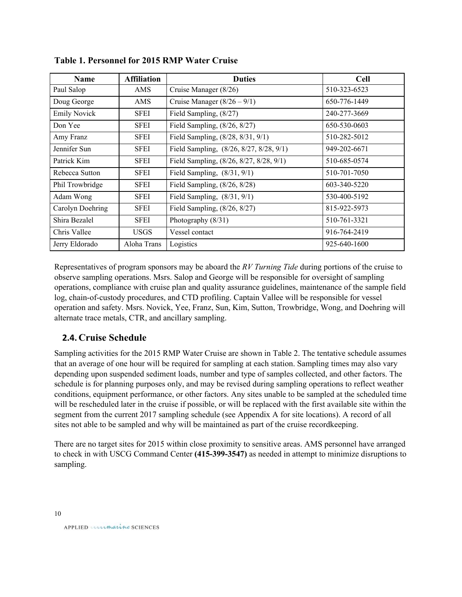| <b>Name</b>         | <b>Affiliation</b> | <b>Duties</b>                           | <b>Cell</b>  |
|---------------------|--------------------|-----------------------------------------|--------------|
| Paul Salop          | AMS                | Cruise Manager (8/26)                   | 510-323-6523 |
| Doug George         | <b>AMS</b>         | Cruise Manager $(8/26 - 9/1)$           | 650-776-1449 |
| <b>Emily Novick</b> | SFEI               | Field Sampling, (8/27)                  | 240-277-3669 |
| Don Yee             | <b>SFEI</b>        | Field Sampling, (8/26, 8/27)            | 650-530-0603 |
| Amy Franz           | <b>SFEI</b>        | Field Sampling, (8/28, 8/31, 9/1)       | 510-282-5012 |
| Jennifer Sun        | <b>SFEI</b>        | Field Sampling, (8/26, 8/27, 8/28, 9/1) | 949-202-6671 |
| Patrick Kim         | <b>SFEI</b>        | Field Sampling, (8/26, 8/27, 8/28, 9/1) | 510-685-0574 |
| Rebecca Sutton      | <b>SFEI</b>        | Field Sampling, $(8/31, 9/1)$           | 510-701-7050 |
| Phil Trowbridge     | <b>SFEI</b>        | Field Sampling, (8/26, 8/28)            | 603-340-5220 |
| Adam Wong           | <b>SFEI</b>        | Field Sampling, $(8/31, 9/1)$           | 530-400-5192 |
| Carolyn Doehring    | <b>SFEI</b>        | Field Sampling, (8/26, 8/27)            | 815-922-5973 |
| Shira Bezalel       | <b>SFEI</b>        | Photography (8/31)                      | 510-761-3321 |
| Chris Vallee        | <b>USGS</b>        | Vessel contact                          | 916-764-2419 |
| Jerry Eldorado      | Aloha Trans        | Logistics                               | 925-640-1600 |

**Table 1. Personnel for 2015 RMP Water Cruise**

Representatives of program sponsors may be aboard the *RV Turning Tide* during portions of the cruise to observe sampling operations. Msrs. Salop and George will be responsible for oversight of sampling operations, compliance with cruise plan and quality assurance guidelines, maintenance of the sample field log, chain-of-custody procedures, and CTD profiling. Captain Vallee will be responsible for vessel operation and safety. Msrs. Novick, Yee, Franz, Sun, Kim, Sutton, Trowbridge, Wong, and Doehring will alternate trace metals, CTR, and ancillary sampling.

# **2.4. Cruise Schedule**

Sampling activities for the 2015 RMP Water Cruise are shown in Table 2. The tentative schedule assumes that an average of one hour will be required for sampling at each station. Sampling times may also vary depending upon suspended sediment loads, number and type of samples collected, and other factors. The schedule is for planning purposes only, and may be revised during sampling operations to reflect weather conditions, equipment performance, or other factors. Any sites unable to be sampled at the scheduled time will be rescheduled later in the cruise if possible, or will be replaced with the first available site within the segment from the current 2017 sampling schedule (see Appendix A for site locations). A record of all sites not able to be sampled and why will be maintained as part of the cruise recordkeeping.

There are no target sites for 2015 within close proximity to sensitive areas. AMS personnel have arranged to check in with USCG Command Center (415-399-3547) as needed in attempt to minimize disruptions to sampling.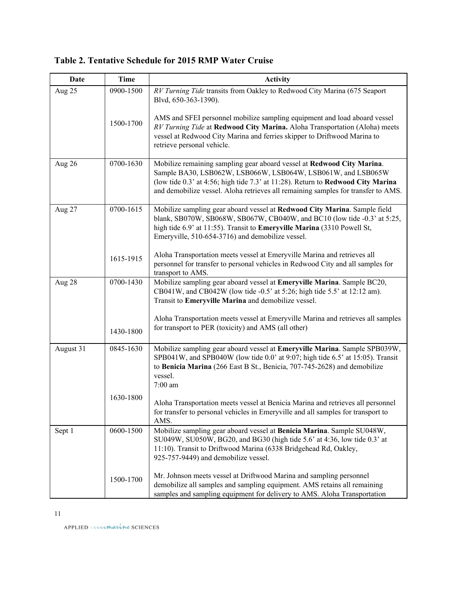| Date      | <b>Time</b> | <b>Activity</b>                                                                                                                                                                                                                                                                                                |
|-----------|-------------|----------------------------------------------------------------------------------------------------------------------------------------------------------------------------------------------------------------------------------------------------------------------------------------------------------------|
| Aug 25    | 0900-1500   | RV Turning Tide transits from Oakley to Redwood City Marina (675 Seaport<br>Blvd, 650-363-1390).                                                                                                                                                                                                               |
|           | 1500-1700   | AMS and SFEI personnel mobilize sampling equipment and load aboard vessel<br>RV Turning Tide at Redwood City Marina. Aloha Transportation (Aloha) meets<br>vessel at Redwood City Marina and ferries skipper to Driftwood Marina to<br>retrieve personal vehicle.                                              |
| Aug 26    | 0700-1630   | Mobilize remaining sampling gear aboard vessel at Redwood City Marina.<br>Sample BA30, LSB062W, LSB066W, LSB064W, LSB061W, and LSB065W<br>(low tide 0.3' at 4:56; high tide 7.3' at 11:28). Return to Redwood City Marina<br>and demobilize vessel. Aloha retrieves all remaining samples for transfer to AMS. |
| Aug 27    | 0700-1615   | Mobilize sampling gear aboard vessel at Redwood City Marina. Sample field<br>blank, SB070W, SB068W, SB067W, CB040W, and BC10 (low tide -0.3' at 5:25,<br>high tide 6.9' at 11:55). Transit to Emeryville Marina (3310 Powell St,<br>Emeryville, 510-654-3716) and demobilize vessel.                           |
|           | 1615-1915   | Aloha Transportation meets vessel at Emeryville Marina and retrieves all<br>personnel for transfer to personal vehicles in Redwood City and all samples for<br>transport to AMS.                                                                                                                               |
| Aug 28    | 0700-1430   | Mobilize sampling gear aboard vessel at Emeryville Marina. Sample BC20,<br>CB041W, and CB042W (low tide -0.5' at 5:26; high tide 5.5' at 12:12 am).<br>Transit to Emeryville Marina and demobilize vessel.                                                                                                     |
|           | 1430-1800   | Aloha Transportation meets vessel at Emeryville Marina and retrieves all samples<br>for transport to PER (toxicity) and AMS (all other)                                                                                                                                                                        |
| August 31 | 0845-1630   | Mobilize sampling gear aboard vessel at Emeryville Marina. Sample SPB039W,<br>SPB041W, and SPB040W (low tide 0.0' at 9:07; high tide 6.5' at 15:05). Transit<br>to Benicia Marina (266 East B St., Benicia, 707-745-2628) and demobilize<br>vessel.<br>$7:00$ am                                               |
|           | 1630-1800   | Aloha Transportation meets vessel at Benicia Marina and retrieves all personnel<br>for transfer to personal vehicles in Emeryville and all samples for transport to<br>AMS.                                                                                                                                    |
| Sept 1    | 0600-1500   | Mobilize sampling gear aboard vessel at Benicia Marina. Sample SU048W,<br>SU049W, SU050W, BG20, and BG30 (high tide 5.6' at 4:36, low tide 0.3' at<br>11:10). Transit to Driftwood Marina (6338 Bridgehead Rd, Oakley,<br>925-757-9449) and demobilize vessel.                                                 |
|           | 1500-1700   | Mr. Johnson meets vessel at Driftwood Marina and sampling personnel<br>demobilize all samples and sampling equipment. AMS retains all remaining<br>samples and sampling equipment for delivery to AMS. Aloha Transportation                                                                                    |

# **Table 2. Tentative Schedule for 2015 RMP Water Cruise**

APPLIED unimarine SCIENCES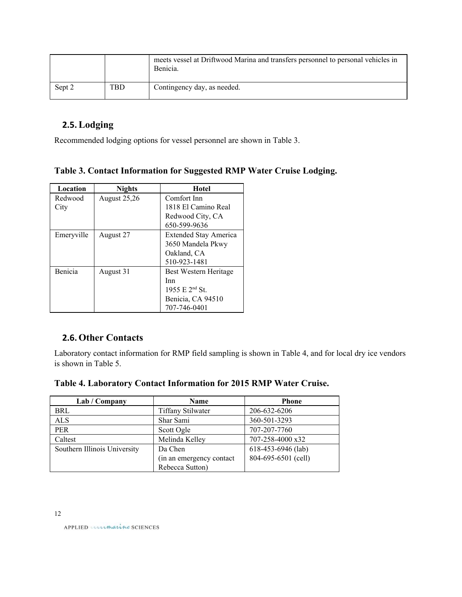|        |     | meets vessel at Driftwood Marina and transfers personnel to personal vehicles in<br>Benicia. |
|--------|-----|----------------------------------------------------------------------------------------------|
| Sept 2 | TBD | Contingency day, as needed.                                                                  |

# **2.5.Lodging**

Recommended lodging options for vessel personnel are shown in Table 3.

|  | Table 3. Contact Information for Suggested RMP Water Cruise Lodging. |  |  |  |
|--|----------------------------------------------------------------------|--|--|--|
|  |                                                                      |  |  |  |

| Location   | <b>Nights</b>       | Hotel                        |
|------------|---------------------|------------------------------|
| Redwood    | <b>August 25,26</b> | Comfort Inn                  |
| City       |                     | 1818 El Camino Real          |
|            |                     | Redwood City, CA             |
|            |                     | 650-599-9636                 |
| Emeryville | August 27           | <b>Extended Stay America</b> |
|            |                     | 3650 Mandela Pkwy            |
|            |                     | Oakland, CA                  |
|            |                     | 510-923-1481                 |
| Benicia    | August 31           | Best Western Heritage        |
|            |                     | Inn                          |
|            |                     | 1955 E $2^{nd}$ St.          |
|            |                     | Benicia, CA 94510            |
|            |                     | 707-746-0401                 |

# **2.6.Other Contacts**

Laboratory contact information for RMP field sampling is shown in Table 4, and for local dry ice vendors is shown in Table 5.

| Table 4. Laboratory Contact Information for 2015 RMP Water Cruise. |  |  |  |  |  |
|--------------------------------------------------------------------|--|--|--|--|--|
|--------------------------------------------------------------------|--|--|--|--|--|

| Lab / Company                | Name                      | <b>Phone</b>        |
|------------------------------|---------------------------|---------------------|
| BRL                          | <b>Tiffany Stilwater</b>  | 206-632-6206        |
| ALS                          | Shar Sami                 | 360-501-3293        |
| <b>PER</b>                   | Scott Ogle                | 707-207-7760        |
| Caltest                      | Melinda Kelley            | 707-258-4000 x32    |
| Southern Illinois University | Da Chen                   | 618-453-6946 (lab)  |
|                              | (in an emergency contact) | 804-695-6501 (cell) |
|                              | Rebecca Sutton)           |                     |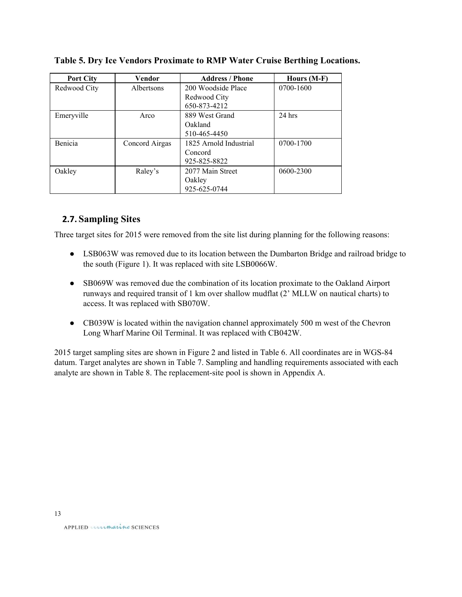| <b>Port City</b> | Vendor            | <b>Address / Phone</b> | Hours (M-F) |
|------------------|-------------------|------------------------|-------------|
| Redwood City     | <b>Albertsons</b> | 200 Woodside Place     | 0700-1600   |
|                  |                   | Redwood City           |             |
|                  |                   | 650-873-4212           |             |
| Emeryville       | Arco              | 889 West Grand         | $24$ hrs    |
|                  |                   | Oakland                |             |
|                  |                   | 510-465-4450           |             |
| Benicia          | Concord Airgas    | 1825 Arnold Industrial | 0700-1700   |
|                  |                   | Concord                |             |
|                  |                   | 925-825-8822           |             |
| Oakley           | Raley's           | 2077 Main Street       | 0600-2300   |
|                  |                   | Oakley                 |             |
|                  |                   | 925-625-0744           |             |

**Table 5. Dry Ice Vendors Proximate to RMP Water Cruise Berthing Locations.**

# **2.7. Sampling Sites**

Three target sites for 2015 were removed from the site list during planning for the following reasons:

- LSB063W was removed due to its location between the Dumbarton Bridge and railroad bridge to the south (Figure 1). It was replaced with site LSB0066W.
- SB069W was removed due the combination of its location proximate to the Oakland Airport runways and required transit of 1 km over shallow mudflat (2' MLLW on nautical charts) to access. It was replaced with SB070W.
- CB039W is located within the navigation channel approximately 500 m west of the Chevron Long Wharf Marine Oil Terminal. It was replaced with CB042W.

2015 target sampling sites are shown in Figure 2 and listed in Table 6. All coordinates are in WGS-84 datum. Target analytes are shown in Table 7. Sampling and handling requirements associated with each analyte are shown in Table 8. The replacement-site pool is shown in Appendix A.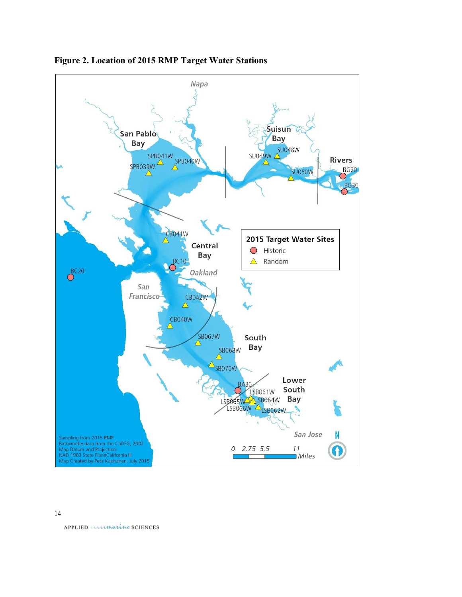



14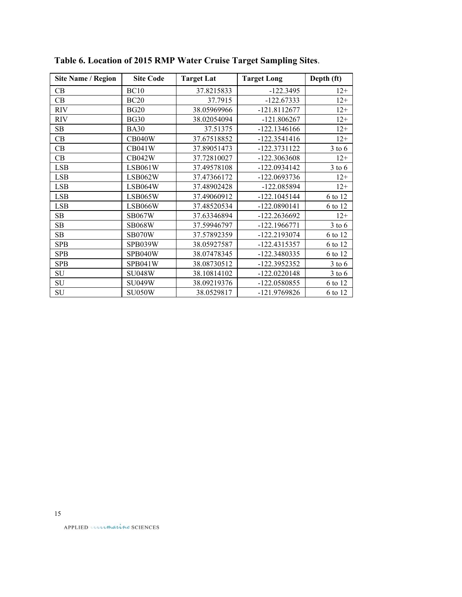| <b>Site Name / Region</b> | <b>Site Code</b> | <b>Target Lat</b> | <b>Target Long</b> | Depth (ft) |
|---------------------------|------------------|-------------------|--------------------|------------|
| CВ                        | <b>BC10</b>      | 37.8215833        | $-122.3495$        | $12+$      |
| CB                        | <b>BC20</b>      | 37.7915           | $-122.67333$       | $12+$      |
| <b>RIV</b>                | <b>BG20</b>      | 38.05969966       | $-121.8112677$     | $12+$      |
| <b>RIV</b>                | <b>BG30</b>      | 38.02054094       | $-121.806267$      | $12+$      |
| SB                        | <b>BA30</b>      | 37.51375          | $-122.1346166$     | $12+$      |
| <b>CB</b>                 | <b>CB040W</b>    | 37.67518852       | $-122.3541416$     | $12+$      |
| CB                        | <b>CB041W</b>    | 37.89051473       | -122.3731122       | $3$ to $6$ |
| CB                        | <b>CB042W</b>    | 37.72810027       | -122.3063608       | $12+$      |
| <b>LSB</b>                | LSB061W          | 37.49578108       | $-122.0934142$     | $3$ to $6$ |
| <b>LSB</b>                | LSB062W          | 37.47366172       | -122.0693736       | $12+$      |
| <b>LSB</b>                | LSB064W          | 37.48902428       | -122.085894        | $12+$      |
| LSB                       | LSB065W          | 37.49060912       | $-122.1045144$     | 6 to 12    |
| <b>LSB</b>                | LSB066W          | 37.48520534       | -122.0890141       | 6 to 12    |
| SB                        | <b>SB067W</b>    | 37.63346894       | -122.2636692       | $12+$      |
| SB                        | <b>SB068W</b>    | 37.59946797       | $-122.1966771$     | $3$ to $6$ |
| SB                        | SB070W           | 37.57892359       | -122.2193074       | 6 to 12    |
| <b>SPB</b>                | SPB039W          | 38.05927587       | -122.4315357       | 6 to 12    |
| <b>SPB</b>                | SPB040W          | 38.07478345       | -122.3480335       | 6 to 12    |
| <b>SPB</b>                | SPB041W          | 38.08730512       | -122.3952352       | $3$ to $6$ |
| SU                        | <b>SU048W</b>    | 38.10814102       | $-122.0220148$     | $3$ to $6$ |
| SU                        | <b>SU049W</b>    | 38.09219376       | -122.0580855       | 6 to 12    |
| SU                        | SU050W           | 38.0529817        | -121.9769826       | 6 to 12    |

**Table 6. Location of 2015 RMP Water Cruise Target Sampling Sites**.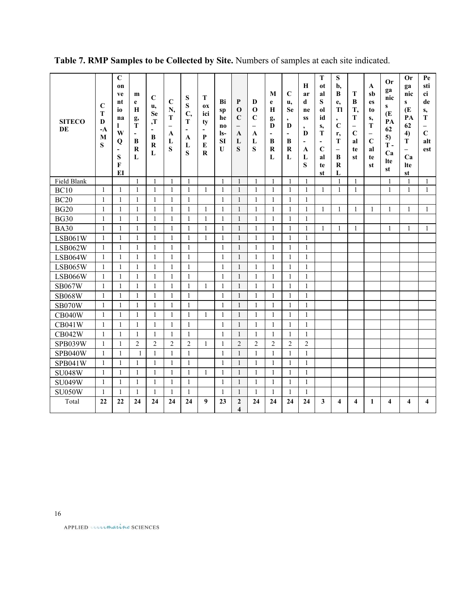| <b>SITECO</b><br>DE | $\mathbf C$<br>T<br>D<br>$-A$<br>M<br>S | $\mathbf C$<br>on<br>ve<br>nt<br>io<br>na<br>$\mathbf{I}$<br>W<br>Q<br>$\blacksquare$<br>S<br>$\mathbf{F}$<br>EI | m<br>e<br>H<br>g,<br>T<br>$\overline{\phantom{a}}$<br>$\bf{B}$<br>R<br>L | $\mathbf C$<br>u,<br><b>Se</b><br>, T<br>-<br>B<br>$\bf R$<br>L | $\mathbf C$<br>N,<br>T<br>$\overline{\phantom{0}}$<br>A<br>L<br>S | ${\bf S}$<br>S<br>C,<br>T<br>$\overline{\phantom{a}}$<br>A<br>L<br>S | т<br><b>OX</b><br>ici<br>ty<br>$\overline{\phantom{a}}$<br>P<br>${\bf E}$<br>$\bf R$ | Bi<br>sp<br>he<br>n <sub>0</sub><br>$ls-$<br><b>SI</b><br>U | $\mathbf{P}$<br>$\mathbf 0$<br>$\mathbf C$<br>$\overline{\phantom{0}}$<br>A<br>L<br>$\mathbf S$ | D<br>$\mathbf 0$<br>$\mathbf C$<br>$\overline{\phantom{0}}$<br>A<br>L<br>S | M<br>e<br>$\mathbf H$<br>g,<br>D<br>$\blacksquare$<br>B<br>$\bf R$<br>L | $\mathbf C$<br>u,<br><b>Se</b><br>$\bullet$<br>$\bf{D}$<br>$\overline{\phantom{a}}$<br>$\bf{B}$<br>$\bf R$<br>L | $\mathbf H$<br>ar<br>d<br>ne<br><b>SS</b><br>$\bullet$<br>D<br>$\blacksquare$<br>$\mathbf{A}$<br>L<br>S | ${\bf T}$<br>ot<br>al<br>S<br><sub>0</sub> l<br>id<br>S,<br>т<br>$\blacksquare$<br>$\mathbf C$<br>al<br>te<br>st | S<br>b,<br>B<br>e,<br>Tl<br>$\bullet$<br>$\mathbf C$<br>r,<br>T<br>$\overline{\phantom{0}}$<br>B<br>$\bf R$<br>L | T<br>B<br>T,<br>T<br>$\overline{\phantom{0}}$<br>$\mathbf C$<br>al<br>te<br>st | $\mathbf{A}$<br>sb<br>es<br>to<br>s,<br>T<br>$\overline{\phantom{m}}$<br>$\mathbf C$<br>al<br>te<br>st | <b>Or</b><br>ga<br>nic<br>$\mathbf{s}$<br>Œ<br>PA<br>62<br>5)<br>$T -$<br>Ca<br><b>Ite</b><br>st | <b>Or</b><br>ga<br>nic<br>$\mathbf{s}$<br>Œ<br>PA<br>62<br>4)<br>T<br>$\overline{\phantom{0}}$<br>Ca<br>lte<br>st | Pe<br>sti<br>ci<br>de<br>s,<br>${\bf T}$<br>$\overline{\phantom{0}}$<br>$\mathbf C$<br>alt<br>est |
|---------------------|-----------------------------------------|------------------------------------------------------------------------------------------------------------------|--------------------------------------------------------------------------|-----------------------------------------------------------------|-------------------------------------------------------------------|----------------------------------------------------------------------|--------------------------------------------------------------------------------------|-------------------------------------------------------------|-------------------------------------------------------------------------------------------------|----------------------------------------------------------------------------|-------------------------------------------------------------------------|-----------------------------------------------------------------------------------------------------------------|---------------------------------------------------------------------------------------------------------|------------------------------------------------------------------------------------------------------------------|------------------------------------------------------------------------------------------------------------------|--------------------------------------------------------------------------------|--------------------------------------------------------------------------------------------------------|--------------------------------------------------------------------------------------------------|-------------------------------------------------------------------------------------------------------------------|---------------------------------------------------------------------------------------------------|
| Field Blank         |                                         |                                                                                                                  | 1                                                                        | 1                                                               | 1                                                                 | 1                                                                    |                                                                                      | $\mathbf{1}$                                                | 1                                                                                               |                                                                            | 1                                                                       | 1                                                                                                               | $\mathbf{1}$                                                                                            |                                                                                                                  | 1                                                                                                                | 1                                                                              |                                                                                                        | 1                                                                                                | $\mathbf{1}$                                                                                                      | 1                                                                                                 |
| <b>BC10</b>         | 1                                       | 1                                                                                                                | $\mathbf{1}$                                                             | $\mathbf{1}$                                                    | 1                                                                 | $\mathbf{1}$                                                         | $\mathbf{1}$                                                                         | $\mathbf{1}$                                                | $\mathbf{1}$                                                                                    | $\mathbf{1}$                                                               | $\mathbf{1}$                                                            | $\mathbf{1}$                                                                                                    | $\mathbf{1}$                                                                                            | 1                                                                                                                | $\mathbf{1}$                                                                                                     | $\mathbf{1}$                                                                   |                                                                                                        | $\mathbf{1}$                                                                                     | $\mathbf{1}$                                                                                                      | $\mathbf{1}$                                                                                      |
| <b>BC20</b>         | $\mathbf{1}$                            | 1                                                                                                                | 1                                                                        | 1                                                               | 1                                                                 | 1                                                                    |                                                                                      | 1                                                           | 1                                                                                               | 1                                                                          | 1                                                                       | 1                                                                                                               | 1                                                                                                       |                                                                                                                  |                                                                                                                  |                                                                                |                                                                                                        |                                                                                                  |                                                                                                                   |                                                                                                   |
| <b>BG20</b>         | $\mathbf{1}$                            | 1                                                                                                                | $\mathbf{1}$                                                             | $\mathbf{1}$                                                    | 1                                                                 | $\mathbf{1}$                                                         | 1                                                                                    | $\mathbf{1}$                                                | $\mathbf{1}$                                                                                    | $\mathbf{1}$                                                               | $\mathbf{1}$                                                            | $\mathbf{1}$                                                                                                    | $\mathbf{1}$                                                                                            | $\mathbf{1}$                                                                                                     | $\mathbf{1}$                                                                                                     | $\mathbf{1}$                                                                   | 1                                                                                                      | $\mathbf{1}$                                                                                     | $\mathbf{1}$                                                                                                      | $\mathbf{1}$                                                                                      |
| <b>BG30</b>         | $\mathbf{1}$                            | $\mathbf{1}$                                                                                                     | $\mathbf{1}$                                                             | $\mathbf{1}$                                                    | $\mathbf{1}$                                                      | $\mathbf{1}$                                                         | $\mathbf{1}$                                                                         | $\overline{1}$                                              | $\mathbf{1}$                                                                                    | $\mathbf{1}$                                                               | $\mathbf{1}$                                                            | $\mathbf{1}$                                                                                                    | $\mathbf{1}$                                                                                            |                                                                                                                  |                                                                                                                  |                                                                                |                                                                                                        |                                                                                                  |                                                                                                                   |                                                                                                   |
| <b>BA30</b>         | $\mathbf{1}$                            | 1                                                                                                                | $\mathbf{1}$                                                             | $\mathbf{1}$                                                    | 1                                                                 | 1                                                                    | $\mathbf{1}$                                                                         | $\mathbf{1}$                                                | $\mathbf{1}$                                                                                    | 1                                                                          | $\mathbf{1}$                                                            | $\mathbf{1}$                                                                                                    | $\mathbf{1}$                                                                                            | 1                                                                                                                | $\mathbf{1}$                                                                                                     | 1                                                                              |                                                                                                        | 1                                                                                                | 1                                                                                                                 | $\mathbf{1}$                                                                                      |
| <b>LSB061W</b>      | $\mathbf{1}$                            | 1                                                                                                                | $\mathbf{1}$                                                             | $\mathbf{1}$                                                    | 1                                                                 | $\mathbf{1}$                                                         | $\mathbf{1}$                                                                         | $\mathbf{1}$                                                | $\mathbf{1}$                                                                                    | $\mathbf{1}$                                                               | $\mathbf{1}$                                                            | $\mathbf{1}$                                                                                                    | $\mathbf{1}$                                                                                            |                                                                                                                  |                                                                                                                  |                                                                                |                                                                                                        |                                                                                                  |                                                                                                                   |                                                                                                   |
| LSB062W             | $\mathbf{1}$                            | 1                                                                                                                | $\mathbf{1}$                                                             | $\mathbf{1}$                                                    | 1                                                                 | $\mathbf{1}$                                                         |                                                                                      | $\mathbf{1}$                                                | 1                                                                                               | 1                                                                          | $\mathbf{1}$                                                            | 1                                                                                                               | 1                                                                                                       |                                                                                                                  |                                                                                                                  |                                                                                |                                                                                                        |                                                                                                  |                                                                                                                   |                                                                                                   |
| LSB064W             | $\mathbf{1}$                            | 1                                                                                                                | $\mathbf{1}$                                                             | $\mathbf{1}$                                                    | 1                                                                 | $\mathbf{1}$                                                         |                                                                                      | $\mathbf{1}$                                                | $\mathbf{1}$                                                                                    | $\mathbf{1}$                                                               | $\mathbf{1}$                                                            | $\mathbf{1}$                                                                                                    | $\mathbf{1}$                                                                                            |                                                                                                                  |                                                                                                                  |                                                                                |                                                                                                        |                                                                                                  |                                                                                                                   |                                                                                                   |
| <b>LSB065W</b>      | $\mathbf{1}$                            | $\mathbf{1}$                                                                                                     | $\mathbf{1}$                                                             | $\mathbf{1}$                                                    | $\mathbf{1}$                                                      | $\mathbf{1}$                                                         |                                                                                      | $\mathbf{1}$                                                | $\mathbf{1}$                                                                                    | $\mathbf{1}$                                                               | $\mathbf{1}$                                                            | $\mathbf{1}$                                                                                                    | $\mathbf{1}$                                                                                            |                                                                                                                  |                                                                                                                  |                                                                                |                                                                                                        |                                                                                                  |                                                                                                                   |                                                                                                   |
| LSB066W             | $\mathbf{1}$                            | 1                                                                                                                | $\mathbf{1}$                                                             | $\mathbf{1}$                                                    | 1                                                                 | $\mathbf{1}$                                                         |                                                                                      | $\mathbf{1}$                                                | $\mathbf{1}$                                                                                    | $\mathbf{1}$                                                               | $\mathbf{1}$                                                            | $\mathbf{1}$                                                                                                    | $\mathbf{1}$                                                                                            |                                                                                                                  |                                                                                                                  |                                                                                |                                                                                                        |                                                                                                  |                                                                                                                   |                                                                                                   |
| <b>SB067W</b>       | $\mathbf{1}$                            | 1                                                                                                                | $\mathbf{1}$                                                             | $\mathbf{1}$                                                    | 1                                                                 | $\mathbf{1}$                                                         | $\mathbf{1}$                                                                         | $\overline{1}$                                              | $\mathbf{1}$                                                                                    | 1                                                                          | $\mathbf{1}$                                                            | $\mathbf{1}$                                                                                                    | $\mathbf{1}$                                                                                            |                                                                                                                  |                                                                                                                  |                                                                                |                                                                                                        |                                                                                                  |                                                                                                                   |                                                                                                   |
| <b>SB068W</b>       | $\mathbf{1}$                            | $\mathbf{1}$                                                                                                     | $\mathbf{1}$                                                             | $\mathbf{1}$                                                    | $\mathbf{1}$                                                      | $\mathbf{1}$                                                         |                                                                                      | $\overline{1}$                                              | $\mathbf{1}$                                                                                    | $\mathbf{1}$                                                               | $\mathbf{1}$                                                            | $\mathbf{1}$                                                                                                    | $\mathbf{1}$                                                                                            |                                                                                                                  |                                                                                                                  |                                                                                |                                                                                                        |                                                                                                  |                                                                                                                   |                                                                                                   |
| <b>SB070W</b>       | $\mathbf{1}$                            | 1                                                                                                                | 1                                                                        | $\mathbf{1}$                                                    | 1                                                                 | 1                                                                    |                                                                                      | $\mathbf{1}$                                                | 1                                                                                               | $\mathbf{1}$                                                               | 1                                                                       | $\mathbf{1}$                                                                                                    | $\mathbf{1}$                                                                                            |                                                                                                                  |                                                                                                                  |                                                                                |                                                                                                        |                                                                                                  |                                                                                                                   |                                                                                                   |
| <b>CB040W</b>       | $\mathbf{1}$                            | 1                                                                                                                | $\mathbf{1}$                                                             | $\mathbf{1}$                                                    | 1                                                                 | $\mathbf{1}$                                                         | 1                                                                                    | $\mathbf{1}$                                                | $\mathbf{1}$                                                                                    | $\mathbf{1}$                                                               | $\mathbf{1}$                                                            | $\mathbf{1}$                                                                                                    | $\mathbf{1}$                                                                                            |                                                                                                                  |                                                                                                                  |                                                                                |                                                                                                        |                                                                                                  |                                                                                                                   |                                                                                                   |
| <b>CB041W</b>       | $\mathbf{1}$                            | 1                                                                                                                | $\mathbf{1}$                                                             | $\mathbf{1}$                                                    | 1                                                                 | 1                                                                    |                                                                                      | $\overline{1}$                                              | 1                                                                                               | 1                                                                          | $\mathbf{1}$                                                            | 1                                                                                                               | 1                                                                                                       |                                                                                                                  |                                                                                                                  |                                                                                |                                                                                                        |                                                                                                  |                                                                                                                   |                                                                                                   |
| <b>CB042W</b>       | $\mathbf{1}$                            | 1                                                                                                                | $\mathbf{1}$                                                             | $\mathbf{1}$<br>$\overline{2}$                                  | 1<br>$\overline{2}$                                               | $\mathbf{1}$                                                         |                                                                                      | $\mathbf{1}$                                                | $\mathbf{1}$<br>$\overline{2}$                                                                  | $\mathbf{1}$                                                               | $\mathbf{1}$<br>$\overline{c}$                                          | $\mathbf{1}$<br>$\overline{2}$                                                                                  | $\mathbf{1}$<br>$\overline{2}$                                                                          |                                                                                                                  |                                                                                                                  |                                                                                |                                                                                                        |                                                                                                  |                                                                                                                   |                                                                                                   |
| SPB039W             | $\mathbf{1}$                            | $\mathbf{1}$                                                                                                     | $\overline{2}$                                                           |                                                                 |                                                                   | $\overline{2}$                                                       | $\mathbf{1}$                                                                         | $\mathbf{1}$                                                |                                                                                                 | $\overline{2}$                                                             |                                                                         |                                                                                                                 |                                                                                                         |                                                                                                                  |                                                                                                                  |                                                                                |                                                                                                        |                                                                                                  |                                                                                                                   |                                                                                                   |
| SPB040W             | $\mathbf{1}$                            | $\mathbf{1}$                                                                                                     | $\mathbf{1}$                                                             | $\mathbf{1}$                                                    | 1                                                                 | $\mathbf{1}$                                                         |                                                                                      | $\mathbf{1}$                                                | $\mathbf{1}$                                                                                    | $\mathbf{1}$                                                               | $\mathbf{1}$                                                            | $\mathbf{1}$                                                                                                    | $\mathbf{1}$                                                                                            |                                                                                                                  |                                                                                                                  |                                                                                |                                                                                                        |                                                                                                  |                                                                                                                   |                                                                                                   |
| SPB041W             | $\mathbf{1}$                            | $\mathbf{1}$                                                                                                     | $\mathbf{1}$                                                             | $\mathbf{1}$                                                    | $\mathbf{1}$                                                      | $\mathbf{1}$                                                         |                                                                                      | $\mathbf{1}$                                                | $\mathbf{1}$                                                                                    | $\mathbf{1}$                                                               | $\mathbf{1}$                                                            | $\mathbf{1}$                                                                                                    | $\mathbf{1}$                                                                                            |                                                                                                                  |                                                                                                                  |                                                                                |                                                                                                        |                                                                                                  |                                                                                                                   |                                                                                                   |
| <b>SU048W</b>       | $\mathbf{1}$                            | 1                                                                                                                | 1                                                                        | $\mathbf{1}$                                                    | 1                                                                 | 1                                                                    | 1                                                                                    | $\mathbf{1}$                                                | $\mathbf{1}$                                                                                    | 1                                                                          | $\mathbf{1}$                                                            | 1                                                                                                               | $\mathbf{1}$                                                                                            |                                                                                                                  |                                                                                                                  |                                                                                |                                                                                                        |                                                                                                  |                                                                                                                   |                                                                                                   |
| <b>SU049W</b>       | $\mathbf{1}$                            | $\mathbf{1}$                                                                                                     | 1                                                                        | $\mathbf{1}$                                                    | 1                                                                 | $\mathbf{1}$                                                         |                                                                                      | $\mathbf{1}$                                                | 1                                                                                               | 1                                                                          | $\mathbf{1}$                                                            | $\mathbf{1}$                                                                                                    | $\mathbf{1}$                                                                                            |                                                                                                                  |                                                                                                                  |                                                                                |                                                                                                        |                                                                                                  |                                                                                                                   |                                                                                                   |
| <b>SU050W</b>       | 1                                       | 1<br>22                                                                                                          | 1                                                                        | 1                                                               | 1                                                                 | 1                                                                    |                                                                                      | $\overline{1}$                                              | 1                                                                                               | 1                                                                          | 1                                                                       | 1<br>24                                                                                                         | 1                                                                                                       |                                                                                                                  |                                                                                                                  |                                                                                |                                                                                                        |                                                                                                  |                                                                                                                   |                                                                                                   |
| Total               | 22                                      |                                                                                                                  | 24                                                                       | 24                                                              | 24                                                                | 24                                                                   | 9                                                                                    | 23                                                          | $\overline{2}$<br>$\boldsymbol{4}$                                                              | 24                                                                         | 24                                                                      |                                                                                                                 | 24                                                                                                      | 3                                                                                                                | $\overline{\bf{4}}$                                                                                              | 4                                                                              | 1                                                                                                      | $\overline{\bf{4}}$                                                                              | $\boldsymbol{4}$                                                                                                  | $\overline{\bf{4}}$                                                                               |

# **Table 7. RMP Samples to be Collected by Site.** Numbers of samples at each site indicated.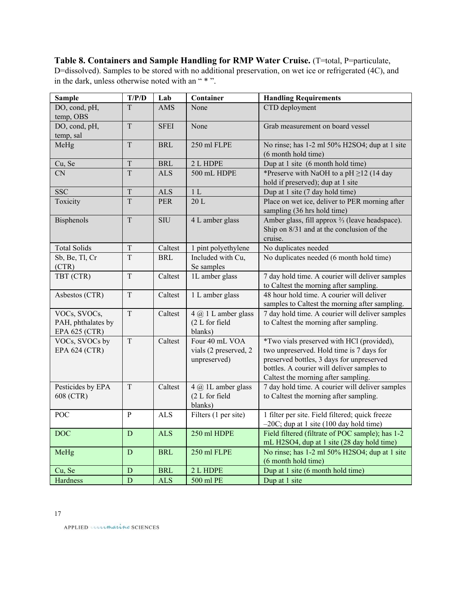**Table 8. Containers and Sample Handling for RMP Water Cruise.** (T=total, P=particulate, D=dissolved). Samples to be stored with no additional preservation, on wet ice or refrigerated (4C), and in the dark, unless otherwise noted with an " \* ".

| <b>Sample</b>       | T/P/D          | Lab         | Container             | <b>Handling Requirements</b>                                            |
|---------------------|----------------|-------------|-----------------------|-------------------------------------------------------------------------|
| DO, cond, pH,       | T              | <b>AMS</b>  | None                  | CTD deployment                                                          |
| temp, OBS           |                |             |                       |                                                                         |
| DO, cond, pH,       | T              | <b>SFEI</b> | None                  | Grab measurement on board vessel                                        |
| temp, sal           |                |             |                       |                                                                         |
| MeHg                | T              | <b>BRL</b>  | 250 ml FLPE           | No rinse; has 1-2 ml 50% H2SO4; dup at 1 site                           |
|                     |                |             |                       | (6 month hold time)                                                     |
| Cu, Se              | $\mathcal T$   | <b>BRL</b>  | 2 L HDPE              | Dup at 1 site (6 month hold time)                                       |
| <b>CN</b>           | T              | <b>ALS</b>  | 500 mL HDPE           | *Preserve with NaOH to a pH $\geq$ 12 (14 day                           |
|                     |                |             |                       | hold if preserved); dup at 1 site                                       |
| <b>SSC</b>          | T              | <b>ALS</b>  | 1L                    | Dup at 1 site (7 day hold time)                                         |
| Toxicity            | T              | <b>PER</b>  | 20L                   | Place on wet ice, deliver to PER morning after                          |
|                     |                |             |                       | sampling (36 hrs hold time)                                             |
| <b>Bisphenols</b>   | T              | <b>SIU</b>  | 4 L amber glass       | Amber glass, fill approx <sup>2</sup> / <sub>3</sub> (leave headspace). |
|                     |                |             |                       | Ship on 8/31 and at the conclusion of the                               |
|                     |                |             |                       | cruise.                                                                 |
| <b>Total Solids</b> | $\mathbf T$    | Caltest     | 1 pint polyethylene   | No duplicates needed                                                    |
| Sb, Be, Tl, Cr      | T              | <b>BRL</b>  | Included with Cu,     | No duplicates needed (6 month hold time)                                |
| (CTR)               |                |             | Se samples            |                                                                         |
| TBT (CTR)           | $\overline{T}$ | Caltest     | 1L amber glass        | 7 day hold time. A courier will deliver samples                         |
|                     |                |             |                       | to Caltest the morning after sampling.                                  |
| Asbestos (CTR)      | $\mathbf T$    | Caltest     | 1 L amber glass       | 48 hour hold time. A courier will deliver                               |
|                     |                |             |                       | samples to Caltest the morning after sampling.                          |
| VOCs, SVOCs,        | $\mathbf T$    | Caltest     | $4 @ 1$ L amber glass | 7 day hold time. A courier will deliver samples                         |
| PAH, phthalates by  |                |             | (2 L for field        | to Caltest the morning after sampling.                                  |
| EPA 625 (CTR)       |                |             | blanks)               |                                                                         |
| VOCs, SVOCs by      | $\overline{T}$ | Caltest     | Four 40 mL VOA        | *Two vials preserved with HCl (provided),                               |
| EPA 624 (CTR)       |                |             | vials (2 preserved, 2 | two unpreserved. Hold time is 7 days for                                |
|                     |                |             | unpreserved)          | preserved bottles, 3 days for unpreserved                               |
|                     |                |             |                       | bottles. A courier will deliver samples to                              |
|                     |                |             |                       | Caltest the morning after sampling.                                     |
| Pesticides by EPA   | $\mathbf T$    | Caltest     | 4 @ 1L amber glass    | 7 day hold time. A courier will deliver samples                         |
| 608 (CTR)           |                |             | (2 L for field        | to Caltest the morning after sampling.                                  |
|                     |                |             | blanks)               |                                                                         |
| POC                 | ${\bf P}$      | <b>ALS</b>  | Filters (1 per site)  | 1 filter per site. Field filtered; quick freeze                         |
|                     |                |             |                       | $-20C$ ; dup at 1 site (100 day hold time)                              |
| <b>DOC</b>          | $\mathbf D$    | <b>ALS</b>  | 250 ml HDPE           | Field filtered (filtrate of POC sample); has 1-2                        |
|                     |                |             |                       | mL H2SO4, dup at 1 site (28 day hold time)                              |
| MeHg                | D              | <b>BRL</b>  | 250 ml FLPE           | No rinse; has 1-2 ml 50% H2SO4; dup at 1 site                           |
|                     |                |             |                       | (6 month hold time)                                                     |
| Cu, Se              | D              | <b>BRL</b>  | 2 L HDPE              | Dup at 1 site (6 month hold time)                                       |
| Hardness            | $\overline{D}$ | <b>ALS</b>  | 500 ml PE             | Dup at 1 site                                                           |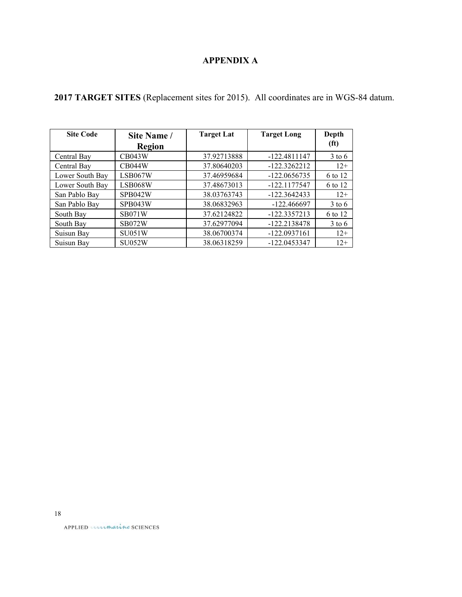# **APPENDIX A**

|  | 2017 TARGET SITES (Replacement sites for 2015). All coordinates are in WGS-84 datum. |  |  |  |  |
|--|--------------------------------------------------------------------------------------|--|--|--|--|
|  |                                                                                      |  |  |  |  |

| <b>Site Code</b> | Site Name /   | <b>Target Lat</b> | <b>Target Long</b> | Depth             |
|------------------|---------------|-------------------|--------------------|-------------------|
|                  | Region        |                   |                    | (f <sup>t</sup> ) |
| Central Bay      | CB043W        | 37.92713888       | $-122.4811147$     | $3$ to 6          |
| Central Bay      | <b>CB044W</b> | 37.80640203       | $-122.3262212$     | $12+$             |
| Lower South Bay  | LSB067W       | 37.46959684       | $-122.0656735$     | 6 to 12           |
| Lower South Bay  | LSB068W       | 37.48673013       | $-122.1177547$     | 6 to 12           |
| San Pablo Bay    | SPB042W       | 38.03763743       | $-122.3642433$     | $12+$             |
| San Pablo Bay    | SPB043W       | 38.06832963       | $-122.466697$      | $3$ to 6          |
| South Bay        | <b>SB071W</b> | 37.62124822       | $-122.3357213$     | 6 to 12           |
| South Bay        | <b>SB072W</b> | 37.62977094       | $-122.2138478$     | $3$ to 6          |
| Suisun Bay       | <b>SU051W</b> | 38.06700374       | $-122.0937161$     | $12+$             |
| Suisun Bay       | <b>SU052W</b> | 38.06318259       | $-122.0453347$     | $12+$             |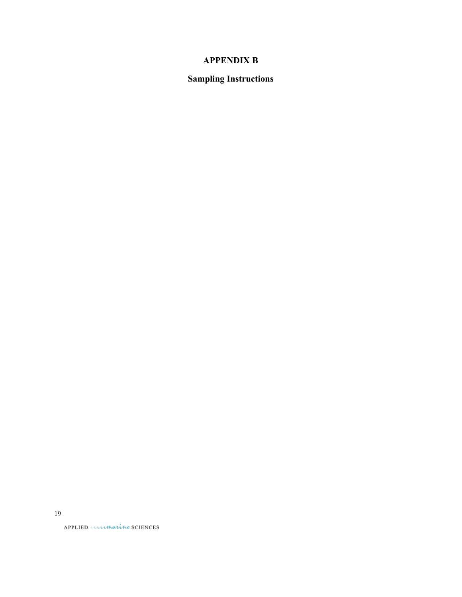# **APPENDIX B**

# **Sampling Instructions**

19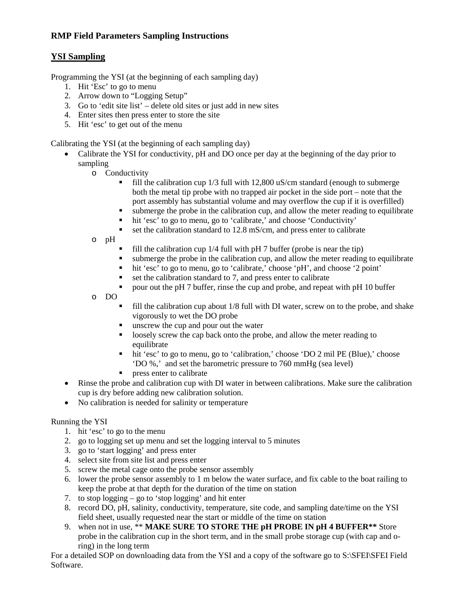# **RMP Field Parameters Sampling Instructions**

# **YSI Sampling**

Programming the YSI (at the beginning of each sampling day)

- 1. Hit 'Esc' to go to menu
- 2. Arrow down to "Logging Setup"
- 3. Go to 'edit site list' delete old sites or just add in new sites
- 4. Enter sites then press enter to store the site
- 5. Hit 'esc' to get out of the menu

Calibrating the YSI (at the beginning of each sampling day)

- Calibrate the YSI for conductivity, pH and DO once per day at the beginning of the day prior to sampling
	- o Conductivity
		- fill the calibration cup 1/3 full with 12,800 uS/cm standard (enough to submerge both the metal tip probe with no trapped air pocket in the side port – note that the port assembly has substantial volume and may overflow the cup if it is overfilled)
		- submerge the probe in the calibration cup, and allow the meter reading to equilibrate
		- $\blacksquare$  hit 'esc' to go to menu, go to 'calibrate,' and choose 'Conductivity'
		- $\blacksquare$  set the calibration standard to 12.8 mS/cm, and press enter to calibrate
	- o pH
		- fill the calibration cup  $1/4$  full with pH 7 buffer (probe is near the tip)
		- submerge the probe in the calibration cup, and allow the meter reading to equilibrate
		- hit 'esc' to go to menu, go to 'calibrate,' choose 'pH', and choose '2 point'
		- $\blacksquare$  set the calibration standard to 7, and press enter to calibrate
		- pour out the pH 7 buffer, rinse the cup and probe, and repeat with pH 10 buffer

o DO

- fill the calibration cup about 1/8 full with DI water, screw on to the probe, and shake vigorously to wet the DO probe
- **unscrew the cup and pour out the water**
- loosely screw the cap back onto the probe, and allow the meter reading to equilibrate
- hit 'esc' to go to menu, go to 'calibration,' choose 'DO 2 mil PE (Blue),' choose 'DO %,' and set the barometric pressure to 760 mmHg (sea level)
- **PERICIPED** Press enter to calibrate
- Rinse the probe and calibration cup with DI water in between calibrations. Make sure the calibration cup is dry before adding new calibration solution.
- No calibration is needed for salinity or temperature

# Running the YSI

- 1. hit 'esc' to go to the menu
- 2. go to logging set up menu and set the logging interval to 5 minutes
- 3. go to 'start logging' and press enter
- 4. select site from site list and press enter
- 5. screw the metal cage onto the probe sensor assembly
- 6. lower the probe sensor assembly to 1 m below the water surface, and fix cable to the boat railing to keep the probe at that depth for the duration of the time on station
- 7. to stop logging go to 'stop logging' and hit enter
- 8. record DO, pH, salinity, conductivity, temperature, site code, and sampling date/time on the YSI field sheet, usually requested near the start or middle of the time on station
- 9. when not in use, \*\* **MAKE SURE TO STORE THE pH PROBE IN pH 4 BUFFER\*\*** Store probe in the calibration cup in the short term, and in the small probe storage cup (with cap and oring) in the long term

For a detailed SOP on downloading data from the YSI and a copy of the software go to S:\SFEI\SFEI Field Software.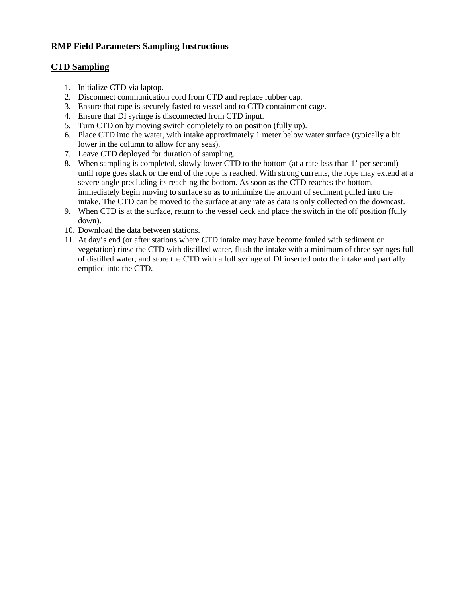# **RMP Field Parameters Sampling Instructions**

### **CTD Sampling**

- 1. Initialize CTD via laptop.
- 2. Disconnect communication cord from CTD and replace rubber cap.
- 3. Ensure that rope is securely fasted to vessel and to CTD containment cage.
- 4. Ensure that DI syringe is disconnected from CTD input.
- 5. Turn CTD on by moving switch completely to on position (fully up).
- 6. Place CTD into the water, with intake approximately 1 meter below water surface (typically a bit lower in the column to allow for any seas).
- 7. Leave CTD deployed for duration of sampling.
- 8. When sampling is completed, slowly lower CTD to the bottom (at a rate less than 1' per second) until rope goes slack or the end of the rope is reached. With strong currents, the rope may extend at a severe angle precluding its reaching the bottom. As soon as the CTD reaches the bottom, immediately begin moving to surface so as to minimize the amount of sediment pulled into the intake. The CTD can be moved to the surface at any rate as data is only collected on the downcast.
- 9. When CTD is at the surface, return to the vessel deck and place the switch in the off position (fully down).
- 10. Download the data between stations.
- 11. At day's end (or after stations where CTD intake may have become fouled with sediment or vegetation) rinse the CTD with distilled water, flush the intake with a minimum of three syringes full of distilled water, and store the CTD with a full syringe of DI inserted onto the intake and partially emptied into the CTD.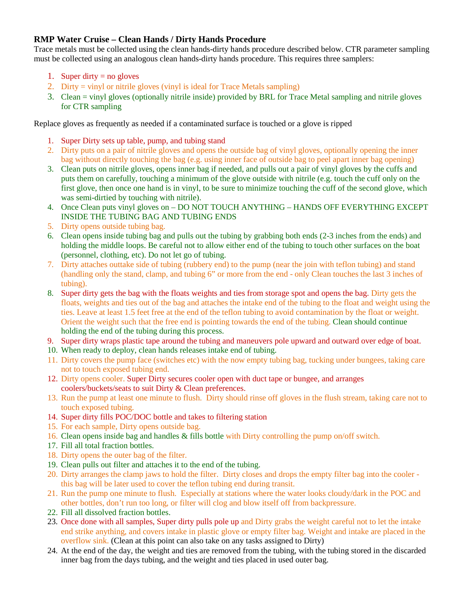# **RMP Water Cruise – Clean Hands / Dirty Hands Procedure**

Trace metals must be collected using the clean hands-dirty hands procedure described below. CTR parameter sampling must be collected using an analogous clean hands-dirty hands procedure. This requires three samplers:

- 1. Super dirty  $=$  no gloves
- 2. Dirty = vinyl or nitrile gloves (vinyl is ideal for Trace Metals sampling)
- 3. Clean = vinyl gloves (optionally nitrile inside) provided by BRL for Trace Metal sampling and nitrile gloves for CTR sampling

Replace gloves as frequently as needed if a contaminated surface is touched or a glove is ripped

- 1. Super Dirty sets up table, pump, and tubing stand
- 2. Dirty puts on a pair of nitrile gloves and opens the outside bag of vinyl gloves, optionally opening the inner bag without directly touching the bag (e.g. using inner face of outside bag to peel apart inner bag opening)
- 3. Clean puts on nitrile gloves, opens inner bag if needed, and pulls out a pair of vinyl gloves by the cuffs and puts them on carefully, touching a minimum of the glove outside with nitrile (e.g. touch the cuff only on the first glove, then once one hand is in vinyl, to be sure to minimize touching the cuff of the second glove, which was semi-dirtied by touching with nitrile).
- 4. Once Clean puts vinyl gloves on DO NOT TOUCH ANYTHING HANDS OFF EVERYTHING EXCEPT INSIDE THE TUBING BAG AND TUBING ENDS
- 5. Dirty opens outside tubing bag.
- 6. Clean opens inside tubing bag and pulls out the tubing by grabbing both ends (2-3 inches from the ends) and holding the middle loops. Be careful not to allow either end of the tubing to touch other surfaces on the boat (personnel, clothing, etc). Do not let go of tubing.
- 7. Dirty attaches outtake side of tubing (rubbery end) to the pump (near the join with teflon tubing) and stand (handling only the stand, clamp, and tubing 6" or more from the end - only Clean touches the last 3 inches of tubing).
- 8. Super dirty gets the bag with the floats weights and ties from storage spot and opens the bag. Dirty gets the floats, weights and ties out of the bag and attaches the intake end of the tubing to the float and weight using the ties. Leave at least 1.5 feet free at the end of the teflon tubing to avoid contamination by the float or weight. Orient the weight such that the free end is pointing towards the end of the tubing. Clean should continue holding the end of the tubing during this process.
- 9. Super dirty wraps plastic tape around the tubing and maneuvers pole upward and outward over edge of boat.
- 10. When ready to deploy, clean hands releases intake end of tubing.
- 11. Dirty covers the pump face (switches etc) with the now empty tubing bag, tucking under bungees, taking care not to touch exposed tubing end.
- 12. Dirty opens cooler. Super Dirty secures cooler open with duct tape or bungee, and arranges coolers/buckets/seats to suit Dirty & Clean preferences.
- 13. Run the pump at least one minute to flush. Dirty should rinse off gloves in the flush stream, taking care not to touch exposed tubing.
- 14. Super dirty fills POC/DOC bottle and takes to filtering station
- 15. For each sample, Dirty opens outside bag.
- 16. Clean opens inside bag and handles & fills bottle with Dirty controlling the pump on/off switch.
- 17. Fill all total fraction bottles.
- 18. Dirty opens the outer bag of the filter.
- 19. Clean pulls out filter and attaches it to the end of the tubing.
- 20. Dirty arranges the clamp jaws to hold the filter. Dirty closes and drops the empty filter bag into the cooler this bag will be later used to cover the teflon tubing end during transit.
- 21. Run the pump one minute to flush. Especially at stations where the water looks cloudy/dark in the POC and other bottles, don't run too long, or filter will clog and blow itself off from backpressure.
- 22. Fill all dissolved fraction bottles.
- 23. Once done with all samples, Super dirty pulls pole up and Dirty grabs the weight careful not to let the intake end strike anything, and covers intake in plastic glove or empty filter bag. Weight and intake are placed in the overflow sink. (Clean at this point can also take on any tasks assigned to Dirty)
- 24. At the end of the day, the weight and ties are removed from the tubing, with the tubing stored in the discarded inner bag from the days tubing, and the weight and ties placed in used outer bag.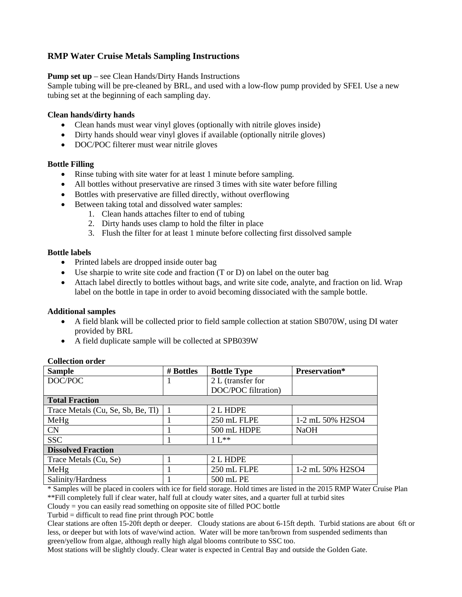# **RMP Water Cruise Metals Sampling Instructions**

**Pump set up** – see Clean Hands/Dirty Hands Instructions

Sample tubing will be pre-cleaned by BRL, and used with a low-flow pump provided by SFEI. Use a new tubing set at the beginning of each sampling day.

#### **Clean hands/dirty hands**

- Clean hands must wear vinyl gloves (optionally with nitrile gloves inside)
- Dirty hands should wear vinyl gloves if available (optionally nitrile gloves)
- DOC/POC filterer must wear nitrile gloves

### **Bottle Filling**

- Rinse tubing with site water for at least 1 minute before sampling.
- All bottles without preservative are rinsed 3 times with site water before filling
- Bottles with preservative are filled directly, without overflowing
- Between taking total and dissolved water samples:
	- 1. Clean hands attaches filter to end of tubing
	- 2. Dirty hands uses clamp to hold the filter in place
	- 3. Flush the filter for at least 1 minute before collecting first dissolved sample

### **Bottle labels**

- Printed labels are dropped inside outer bag
- Use sharpie to write site code and fraction  $(T \text{ or } D)$  on label on the outer bag
- Attach label directly to bottles without bags, and write site code, analyte, and fraction on lid. Wrap label on the bottle in tape in order to avoid becoming dissociated with the sample bottle.

### **Additional samples**

- A field blank will be collected prior to field sample collection at station SB070W, using DI water provided by BRL
- A field duplicate sample will be collected at SPB039W

| <b>Sample</b>                     | # Bottles<br><b>Bottle Type</b> |                     | Preservation*    |  |  |  |  |
|-----------------------------------|---------------------------------|---------------------|------------------|--|--|--|--|
| DOC/POC                           |                                 | 2 L (transfer for   |                  |  |  |  |  |
|                                   |                                 | DOC/POC filtration) |                  |  |  |  |  |
| <b>Total Fraction</b>             |                                 |                     |                  |  |  |  |  |
| Trace Metals (Cu, Se, Sb, Be, Tl) |                                 | 2 L HDPE            |                  |  |  |  |  |
| MeHg                              |                                 | 250 mL FLPE         | 1-2 mL 50% H2SO4 |  |  |  |  |
| <b>CN</b>                         |                                 | 500 mL HDPE         | <b>NaOH</b>      |  |  |  |  |
| <b>SSC</b>                        |                                 | $11**$              |                  |  |  |  |  |
| <b>Dissolved Fraction</b>         |                                 |                     |                  |  |  |  |  |
| Trace Metals (Cu, Se)             |                                 | 2 L HDPE            |                  |  |  |  |  |
| MeHg                              |                                 | 250 mL FLPE         | 1-2 mL 50% H2SO4 |  |  |  |  |
| Salinity/Hardness                 |                                 | 500 mL PE           |                  |  |  |  |  |

### **Collection order**

\* Samples will be placed in coolers with ice for field storage. Hold times are listed in the 2015 RMP Water Cruise Plan \*\*Fill completely full if clear water, half full at cloudy water sites, and a quarter full at turbid sites

Cloudy = you can easily read something on opposite site of filled POC bottle

Turbid = difficult to read fine print through POC bottle

Clear stations are often 15-20ft depth or deeper. Cloudy stations are about 6-15ft depth. Turbid stations are about 6ft or less, or deeper but with lots of wave/wind action. Water will be more tan/brown from suspended sediments than green/yellow from algae, although really high algal blooms contribute to SSC too.

Most stations will be slightly cloudy. Clear water is expected in Central Bay and outside the Golden Gate.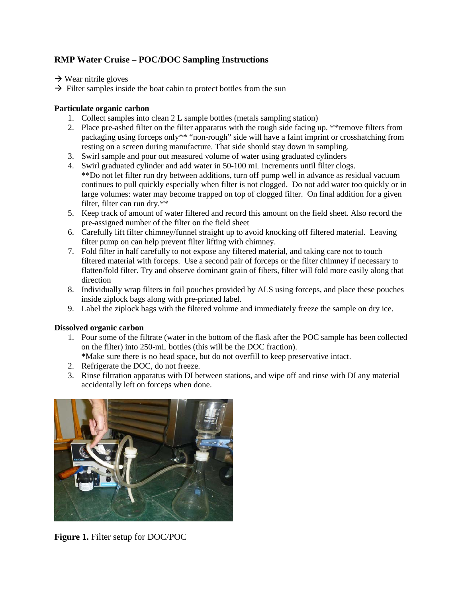# **RMP Water Cruise – POC/DOC Sampling Instructions**

 $\rightarrow$  Wear nitrile gloves

 $\rightarrow$  Filter samples inside the boat cabin to protect bottles from the sun

### **Particulate organic carbon**

- 1. Collect samples into clean 2 L sample bottles (metals sampling station)
- 2. Place pre-ashed filter on the filter apparatus with the rough side facing up. \*\*remove filters from packaging using forceps only\*\* "non-rough" side will have a faint imprint or crosshatching from resting on a screen during manufacture. That side should stay down in sampling.
- 3. Swirl sample and pour out measured volume of water using graduated cylinders
- 4. Swirl graduated cylinder and add water in 50-100 mL increments until filter clogs. \*\*Do not let filter run dry between additions, turn off pump well in advance as residual vacuum continues to pull quickly especially when filter is not clogged. Do not add water too quickly or in large volumes: water may become trapped on top of clogged filter. On final addition for a given filter, filter can run dry.\*\*
- 5. Keep track of amount of water filtered and record this amount on the field sheet. Also record the pre-assigned number of the filter on the field sheet
- 6. Carefully lift filter chimney/funnel straight up to avoid knocking off filtered material. Leaving filter pump on can help prevent filter lifting with chimney.
- 7. Fold filter in half carefully to not expose any filtered material, and taking care not to touch filtered material with forceps. Use a second pair of forceps or the filter chimney if necessary to flatten/fold filter. Try and observe dominant grain of fibers, filter will fold more easily along that direction
- 8. Individually wrap filters in foil pouches provided by ALS using forceps, and place these pouches inside ziplock bags along with pre-printed label.
- 9. Label the ziplock bags with the filtered volume and immediately freeze the sample on dry ice.

### **Dissolved organic carbon**

1. Pour some of the filtrate (water in the bottom of the flask after the POC sample has been collected on the filter) into 250-mL bottles (this will be the DOC fraction).

\*Make sure there is no head space, but do not overfill to keep preservative intact.

- 2. Refrigerate the DOC, do not freeze.
- 3. Rinse filtration apparatus with DI between stations, and wipe off and rinse with DI any material accidentally left on forceps when done.



**Figure 1.** Filter setup for DOC/POC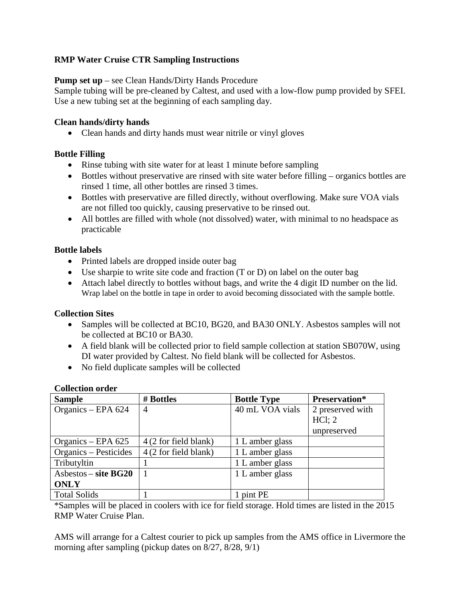# **RMP Water Cruise CTR Sampling Instructions**

# **Pump set up** – see Clean Hands/Dirty Hands Procedure

Sample tubing will be pre-cleaned by Caltest, and used with a low-flow pump provided by SFEI. Use a new tubing set at the beginning of each sampling day.

# **Clean hands/dirty hands**

• Clean hands and dirty hands must wear nitrile or vinyl gloves

# **Bottle Filling**

- Rinse tubing with site water for at least 1 minute before sampling
- Bottles without preservative are rinsed with site water before filling organics bottles are rinsed 1 time, all other bottles are rinsed 3 times.
- Bottles with preservative are filled directly, without overflowing. Make sure VOA vials are not filled too quickly, causing preservative to be rinsed out.
- All bottles are filled with whole (not dissolved) water, with minimal to no headspace as practicable

# **Bottle labels**

- Printed labels are dropped inside outer bag
- Use sharpie to write site code and fraction (T or D) on label on the outer bag
- Attach label directly to bottles without bags, and write the 4 digit ID number on the lid. Wrap label on the bottle in tape in order to avoid becoming dissociated with the sample bottle.

### **Collection Sites**

- Samples will be collected at BC10, BG20, and BA30 ONLY. Asbestos samples will not be collected at BC10 or BA30.
- A field blank will be collected prior to field sample collection at station SB070W, using DI water provided by Caltest. No field blank will be collected for Asbestos.
- No field duplicate samples will be collected

| <b>Sample</b>          | # Bottles             | <b>Bottle Type</b> | <b>Preservation*</b> |
|------------------------|-----------------------|--------------------|----------------------|
| Organics - EPA 624     | $\overline{4}$        | 40 mL VOA vials    | 2 preserved with     |
|                        |                       |                    | $HCl$ ; 2            |
|                        |                       |                    | unpreserved          |
| Organics – EPA 625     | 4 (2 for field blank) | 1 L amber glass    |                      |
| Organics – Pesticides  | 4 (2 for field blank) | 1 L amber glass    |                      |
| Tributyltin            |                       | 1 L amber glass    |                      |
| $Asbestos - site BG20$ |                       | 1 L amber glass    |                      |
| <b>ONLY</b>            |                       |                    |                      |
| <b>Total Solids</b>    |                       | pint PE            |                      |

### **Collection order**

\*Samples will be placed in coolers with ice for field storage. Hold times are listed in the 2015 RMP Water Cruise Plan.

AMS will arrange for a Caltest courier to pick up samples from the AMS office in Livermore the morning after sampling (pickup dates on  $8/27$ ,  $8/28$ ,  $9/1$ )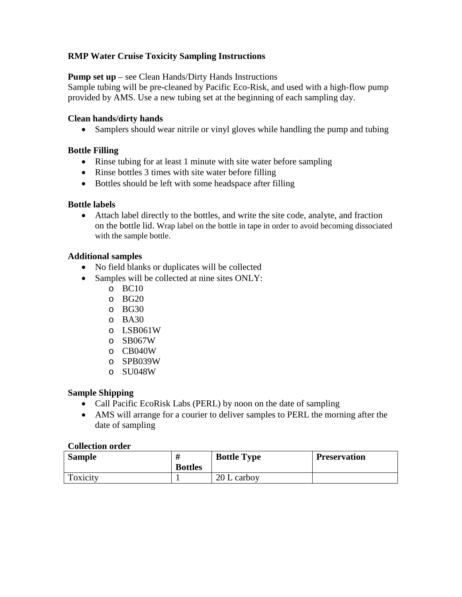# **RMP Water Cruise Toxicity Sampling Instructions**

**Pump set up** – see Clean Hands/Dirty Hands Instructions

Sample tubing will be pre-cleaned by Pacific Eco-Risk, and used with a high-flow pump provided by AMS. Use a new tubing set at the beginning of each sampling day.

# **Clean hands/dirty hands**

• Samplers should wear nitrile or vinyl gloves while handling the pump and tubing

# **Bottle Filling**

- Rinse tubing for at least 1 minute with site water before sampling
- Rinse bottles 3 times with site water before filling
- Bottles should be left with some headspace after filling

# **Bottle labels**

• Attach label directly to the bottles, and write the site code, analyte, and fraction on the bottle lid. Wrap label on the bottle in tape in order to avoid becoming dissociated with the sample bottle.

# **Additional samples**

- No field blanks or duplicates will be collected
- Samples will be collected at nine sites ONLY:
	- o BC10
	- o BG20
	- o BG30
	- o BA30
	- o LSB061W
	- o SB067W
	- o CB040W
	- o SPB039W
	- o SU048W

# **Sample Shipping**

- Call Pacific EcoRisk Labs (PERL) by noon on the date of sampling
- AMS will arrange for a courier to deliver samples to PERL the morning after the date of sampling

### **Collection order**

| <b>Sample</b> | <b>Bottles</b> | <b>Bottle Type</b> | <b>Preservation</b> |
|---------------|----------------|--------------------|---------------------|
| Toxicity      |                | 20 L carboy        |                     |